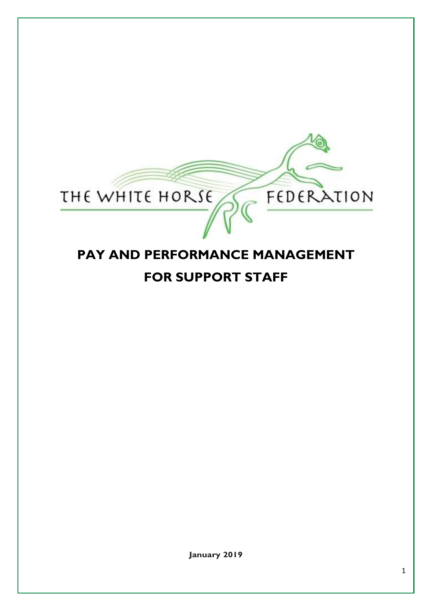

# **PAY AND PERFORMANCE MANAGEMENT FOR SUPPORT STAFF**

**January 2019**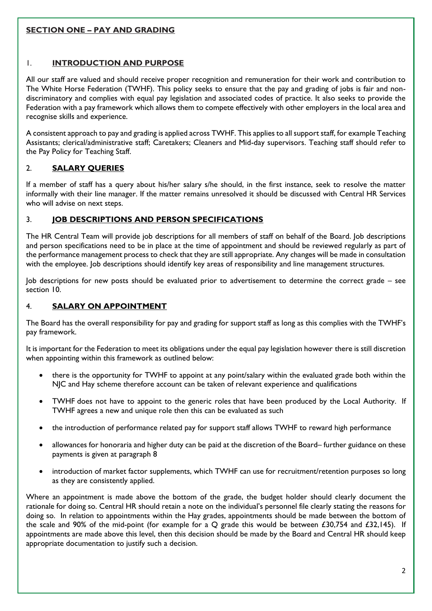# **SECTION ONE – PAY AND GRADING**

## 1. **INTRODUCTION AND PURPOSE**

All our staff are valued and should receive proper recognition and remuneration for their work and contribution to The White Horse Federation (TWHF). This policy seeks to ensure that the pay and grading of jobs is fair and nondiscriminatory and complies with equal pay legislation and associated codes of practice. It also seeks to provide the Federation with a pay framework which allows them to compete effectively with other employers in the local area and recognise skills and experience.

A consistent approach to pay and grading is applied across TWHF. This applies to all support staff, for example Teaching Assistants; clerical/administrative staff; Caretakers; Cleaners and Mid-day supervisors. Teaching staff should refer to the Pay Policy for Teaching Staff.

# 2. **SALARY QUERIES**

If a member of staff has a query about his/her salary s/he should, in the first instance, seek to resolve the matter informally with their line manager. If the matter remains unresolved it should be discussed with Central HR Services who will advise on next steps.

## 3. **JOB DESCRIPTIONS AND PERSON SPECIFICATIONS**

The HR Central Team will provide job descriptions for all members of staff on behalf of the Board. Job descriptions and person specifications need to be in place at the time of appointment and should be reviewed regularly as part of the performance management process to check that they are still appropriate. Any changes will be made in consultation with the employee. Job descriptions should identify key areas of responsibility and line management structures.

Job descriptions for new posts should be evaluated prior to advertisement to determine the correct grade – see section 10.

#### 4. **SALARY ON APPOINTMENT**

The Board has the overall responsibility for pay and grading for support staff as long as this complies with the TWHF's pay framework.

It is important for the Federation to meet its obligations under the equal pay legislation however there is still discretion when appointing within this framework as outlined below:

- there is the opportunity for TWHF to appoint at any point/salary within the evaluated grade both within the NJC and Hay scheme therefore account can be taken of relevant experience and qualifications
- TWHF does not have to appoint to the generic roles that have been produced by the Local Authority. If TWHF agrees a new and unique role then this can be evaluated as such
- the introduction of performance related pay for support staff allows TWHF to reward high performance
- allowances for honoraria and higher duty can be paid at the discretion of the Board– further guidance on these payments is given at paragraph 8
- introduction of market factor supplements, which TWHF can use for recruitment/retention purposes so long as they are consistently applied.

Where an appointment is made above the bottom of the grade, the budget holder should clearly document the rationale for doing so. Central HR should retain a note on the individual's personnel file clearly stating the reasons for doing so. In relation to appointments within the Hay grades, appointments should be made between the bottom of the scale and 90% of the mid-point (for example for a Q grade this would be between £30,754 and £32,145). If appointments are made above this level, then this decision should be made by the Board and Central HR should keep appropriate documentation to justify such a decision.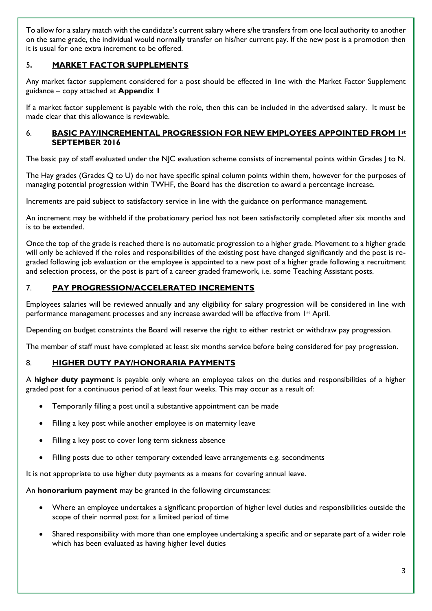To allow for a salary match with the candidate's current salary where s/he transfers from one local authority to another on the same grade, the individual would normally transfer on his/her current pay. If the new post is a promotion then it is usual for one extra increment to be offered.

# 5**. MARKET FACTOR SUPPLEMENTS**

Any market factor supplement considered for a post should be effected in line with the Market Factor Supplement guidance – copy attached at **Appendix 1**

If a market factor supplement is payable with the role, then this can be included in the advertised salary. It must be made clear that this allowance is reviewable.

#### 6. **BASIC PAY/INCREMENTAL PROGRESSION FOR NEW EMPLOYEES APPOINTED FROM 1st SEPTEMBER 2016**

The basic pay of staff evaluated under the NJC evaluation scheme consists of incremental points within Grades J to N.

The Hay grades (Grades Q to U) do not have specific spinal column points within them, however for the purposes of managing potential progression within TWHF, the Board has the discretion to award a percentage increase.

Increments are paid subject to satisfactory service in line with the guidance on performance management.

An increment may be withheld if the probationary period has not been satisfactorily completed after six months and is to be extended.

Once the top of the grade is reached there is no automatic progression to a higher grade. Movement to a higher grade will only be achieved if the roles and responsibilities of the existing post have changed significantly and the post is regraded following job evaluation or the employee is appointed to a new post of a higher grade following a recruitment and selection process, or the post is part of a career graded framework, i.e. some Teaching Assistant posts.

#### 7. **PAY PROGRESSION/ACCELERATED INCREMENTS**

Employees salaries will be reviewed annually and any eligibility for salary progression will be considered in line with performance management processes and any increase awarded will be effective from 1st April.

Depending on budget constraints the Board will reserve the right to either restrict or withdraw pay progression.

The member of staff must have completed at least six months service before being considered for pay progression.

#### 8. **HIGHER DUTY PAY/HONORARIA PAYMENTS**

A **higher duty payment** is payable only where an employee takes on the duties and responsibilities of a higher graded post for a continuous period of at least four weeks. This may occur as a result of:

- Temporarily filling a post until a substantive appointment can be made
- Filling a key post while another employee is on maternity leave
- Filling a key post to cover long term sickness absence
- Filling posts due to other temporary extended leave arrangements e.g. secondments

It is not appropriate to use higher duty payments as a means for covering annual leave.

An **honorarium payment** may be granted in the following circumstances:

- Where an employee undertakes a significant proportion of higher level duties and responsibilities outside the scope of their normal post for a limited period of time
- Shared responsibility with more than one employee undertaking a specific and or separate part of a wider role which has been evaluated as having higher level duties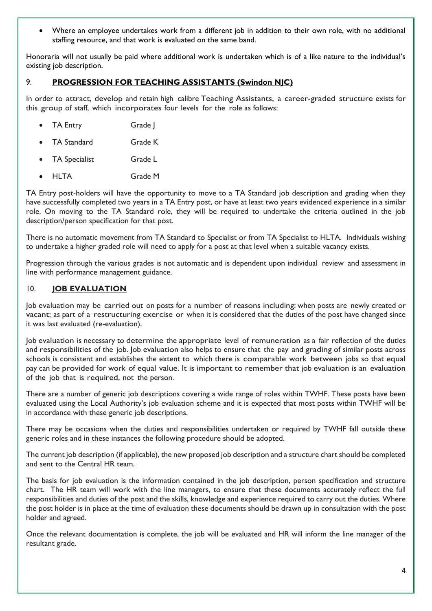Where an employee undertakes work from a different job in addition to their own role, with no additional staffing resource, and that work is evaluated on the same band.

Honoraria will not usually be paid where additional work is undertaken which is of a like nature to the individual's existing job description.

## 9. **PROGRESSION FOR TEACHING ASSISTANTS (Swindon NJC)**

In order to attract, develop and retain high calibre Teaching Assistants, a career-graded structure exists for this group of staff, which incorporates four levels for the role as follows:

- TA Entry Grade |
- TA Standard Grade K
- TA Specialist Grade L
- HLTA Grade M

TA Entry post-holders will have the opportunity to move to a TA Standard job description and grading when they have successfully completed two years in a TA Entry post, or have at least two years evidenced experience in a similar role. On moving to the TA Standard role, they will be required to undertake the criteria outlined in the job description/person specification for that post.

There is no automatic movement from TA Standard to Specialist or from TA Specialist to HLTA. Individuals wishing to undertake a higher graded role will need to apply for a post at that level when a suitable vacancy exists.

Progression through the various grades is not automatic and is dependent upon individual review and assessment in line with performance management guidance.

#### 10. **JOB EVALUATION**

Job evaluation may be carried out on posts for a number of reasons including: when posts are newly created or vacant; as part of a restructuring exercise or when it is considered that the duties of the post have changed since it was last evaluated (re-evaluation).

Job evaluation is necessary to determine the appropriate level of remuneration as a fair reflection of the duties and responsibilities of the job. Job evaluation also helps to ensure that the pay and grading of similar posts across schools is consistent and establishes the extent to which there is comparable work between jobs so that equal pay can be provided for work of equal value. It is important to remember that job evaluation is an evaluation of the job that is required, not the person.

There are a number of generic job descriptions covering a wide range of roles within TWHF. These posts have been evaluated using the Local Authority's job evaluation scheme and it is expected that most posts within TWHF will be in accordance with these generic job descriptions.

There may be occasions when the duties and responsibilities undertaken or required by TWHF fall outside these generic roles and in these instances the following procedure should be adopted.

The current job description (if applicable), the new proposed job description and a structure chart should be completed and sent to the Central HR team.

The basis for job evaluation is the information contained in the job description, person specification and structure chart. The HR team will work with the line managers, to ensure that these documents accurately reflect the full responsibilities and duties of the post and the skills, knowledge and experience required to carry out the duties. Where the post holder is in place at the time of evaluation these documents should be drawn up in consultation with the post holder and agreed.

Once the relevant documentation is complete, the job will be evaluated and HR will inform the line manager of the resultant grade.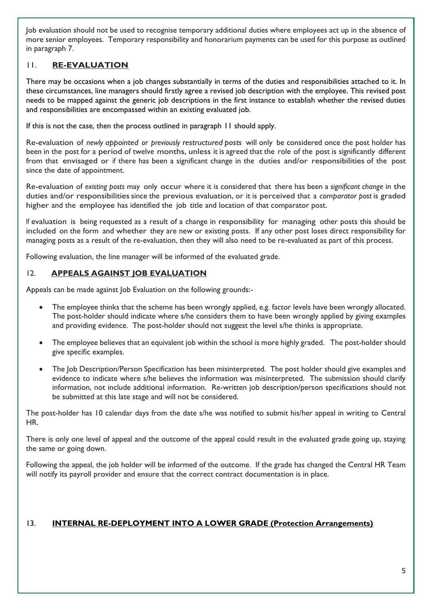Job evaluation should not be used to recognise temporary additional duties where employees act up in the absence of more senior employees. Temporary responsibility and honorarium payments can be used for this purpose as outlined in paragraph 7.

# 11. **RE-EVALUATION**

There may be occasions when a job changes substantially in terms of the duties and responsibilities attached to it. In these circumstances, line managers should firstly agree a revised job description with the employee. This revised post needs to be mapped against the generic job descriptions in the first instance to establish whether the revised duties and responsibilities are encompassed within an existing evaluated job.

If this is not the case, then the process outlined in paragraph 11 should apply.

Re-evaluation of *newly appointed or previously restructured posts* will only be considered once the post holder has been in the post for a period of twelve months, unless it is agreed that the role of the post is significantly different from that envisaged or if there has been a significant change in the duties and/or responsibilities of the post since the date of appointment.

Re-evaluation of *existing posts* may only occur where it is considered that there has been a *significant change* in the duties and/or responsibilities since the previous evaluation, or it is perceived that a *comparator* post is graded higher and the employee has identified the job title and location of that comparator post.

If evaluation is being requested as a result of a change in responsibility for managing other posts this should be included on the form and whether they are new or existing posts. If any other post loses direct responsibility for managing posts as a result of the re-evaluation, then they will also need to be re-evaluated as part of this process.

Following evaluation, the line manager will be informed of the evaluated grade.

# 12. **APPEALS AGAINST JOB EVALUATION**

Appeals can be made against Job Evaluation on the following grounds:-

- The employee thinks that the scheme has been wrongly applied, e.g. factor levels have been wrongly allocated. The post-holder should indicate where s/he considers them to have been wrongly applied by giving examples and providing evidence. The post-holder should not suggest the level s/he thinks is appropriate.
- The employee believes that an equivalent job within the school is more highly graded. The post-holder should give specific examples.
- The Job Description/Person Specification has been misinterpreted. The post holder should give examples and evidence to indicate where s/he believes the information was misinterpreted. The submission should clarify information, not include additional information. Re-written job description/person specifications should not be submitted at this late stage and will not be considered.

The post-holder has 10 calendar days from the date s/he was notified to submit his/her appeal in writing to Central HR.

There is only one level of appeal and the outcome of the appeal could result in the evaluated grade going up, staying the same or going down.

Following the appeal, the job holder will be informed of the outcome. If the grade has changed the Central HR Team will notify its payroll provider and ensure that the correct contract documentation is in place.

# 13. **INTERNAL RE-DEPLOYMENT INTO A LOWER GRADE (Protection Arrangements)**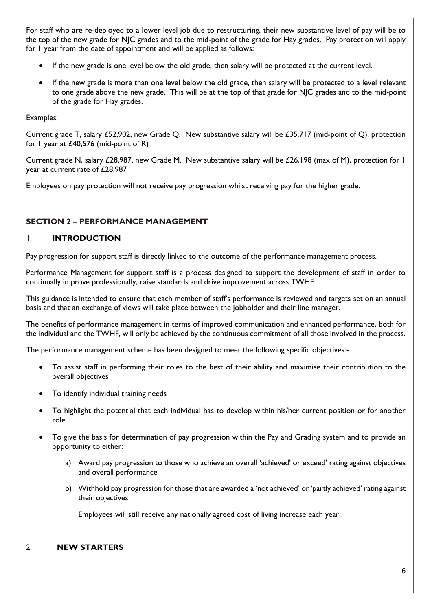For staff who are re-deployed to a lower level job due to restructuring, their new substantive level of pay will be to the top of the new grade for NJC grades and to the mid-point of the grade for Hay grades. Pay protection will apply for 1 year from the date of appointment and will be applied as follows:

- If the new grade is one level below the old grade, then salary will be protected at the current level.
- If the new grade is more than one level below the old grade, then salary will be protected to a level relevant to one grade above the new grade. This will be at the top of that grade for NJC grades and to the mid-point of the grade for Hay grades.

#### Examples:

Current grade T, salary £52,902, new Grade Q. New substantive salary will be £35,717 (mid-point of Q), protection for 1 year at £40,576 (mid-point of R)

Current grade N, salary £28,987, new Grade M. New substantive salary will be £26,198 (max of M), protection for 1 year at current rate of £28,987

Employees on pay protection will not receive pay progression whilst receiving pay for the higher grade.

## **SECTION 2 – PERFORMANCE MANAGEMENT**

#### 1. **INTRODUCTION**

Pay progression for support staff is directly linked to the outcome of the performance management process.

Performance Management for support staff is a process designed to support the development of staff in order to continually improve professionally, raise standards and drive improvement across TWHF

This guidance is intended to ensure that each member of staff's performance is reviewed and targets set on an annual basis and that an exchange of views will take place between the jobholder and their line manager.

The benefits of performance management in terms of improved communication and enhanced performance, both for the individual and the TWHF, will only be achieved by the continuous commitment of all those involved in the process.

The performance management scheme has been designed to meet the following specific objectives:-

- To assist staff in performing their roles to the best of their ability and maximise their contribution to the overall objectives
- To identify individual training needs
- To highlight the potential that each individual has to develop within his/her current position or for another role
- To give the basis for determination of pay progression within the Pay and Grading system and to provide an opportunity to either:
	- a) Award pay progression to those who achieve an overall 'achieved' or exceed' rating against objectives and overall performance
	- b) Withhold pay progression for those that are awarded a 'not achieved' or 'partly achieved' rating against their objectives

Employees will still receive any nationally agreed cost of living increase each year.

# 2. **NEW STARTERS**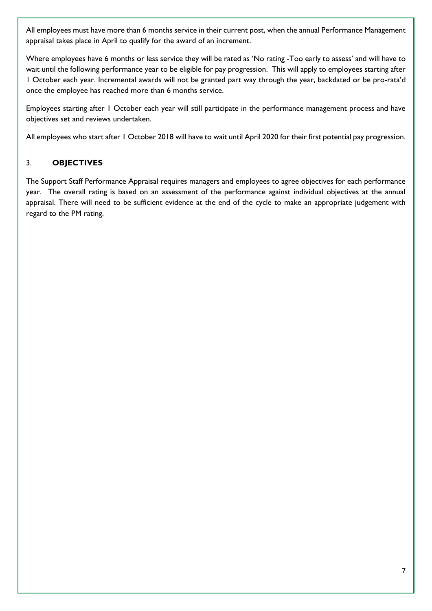All employees must have more than 6 months service in their current post, when the annual Performance Management appraisal takes place in April to qualify for the award of an increment.

Where employees have 6 months or less service they will be rated as 'No rating -Too early to assess' and will have to wait until the following performance year to be eligible for pay progression. This will apply to employees starting after 1 October each year. Incremental awards will not be granted part way through the year, backdated or be pro-rata'd once the employee has reached more than 6 months service.

Employees starting after 1 October each year will still participate in the performance management process and have objectives set and reviews undertaken.

All employees who start after 1 October 2018 will have to wait until April 2020 for their first potential pay progression.

# 3. **OBJECTIVES**

The Support Staff Performance Appraisal requires managers and employees to agree objectives for each performance year. The overall rating is based on an assessment of the performance against individual objectives at the annual appraisal. There will need to be sufficient evidence at the end of the cycle to make an appropriate judgement with regard to the PM rating.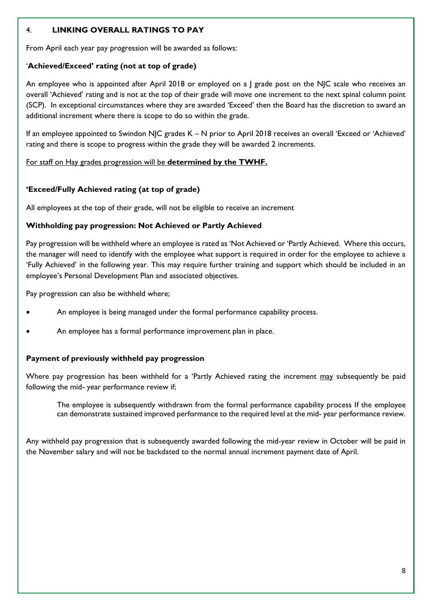## 4. **LINKING OVERALL RATINGS TO PAY**

From April each year pay progression will be awarded as follows:

#### '**Achieved/Exceed' rating (not at top of grade)**

An employee who is appointed after April 2018 or employed on a | grade post on the NJC scale who receives an overall 'Achieved' rating and is not at the top of their grade will move one increment to the next spinal column point (SCP). In exceptional circumstances where they are awarded 'Exceed' then the Board has the discretion to award an additional increment where there is scope to do so within the grade.

If an employee appointed to Swindon NJC grades K – N prior to April 2018 receives an overall 'Exceed or 'Achieved' rating and there is scope to progress within the grade they will be awarded 2 increments.

For staff on Hay grades progression will be **determined by the TWHF.**

#### **'Exceed/Fully Achieved rating (at top of grade)**

All employees at the top of their grade, will not be eligible to receive an increment

#### **Withholding pay progression: Not Achieved or Partly Achieved**

Pay progression will be withheld where an employee is rated as 'Not Achieved or 'Partly Achieved. Where this occurs, the manager will need to identify with the employee what support is required in order for the employee to achieve a 'Fully Achieved' in the following year. This may require further training and support which should be included in an employee's Personal Development Plan and associated objectives.

Pay progression can also be withheld where;

- An employee is being managed under the formal performance capability process.
- An employee has a formal performance improvement plan in place.

#### **Payment of previously withheld pay progression**

Where pay progression has been withheld for a 'Partly Achieved rating the increment may subsequently be paid following the mid- year performance review if;

The employee is subsequently withdrawn from the formal performance capability process If the employee can demonstrate sustained improved performance to the required level at the mid- year performance review.

Any withheld pay progression that is subsequently awarded following the mid-year review in October will be paid in the November salary and will not be backdated to the normal annual increment payment date of April.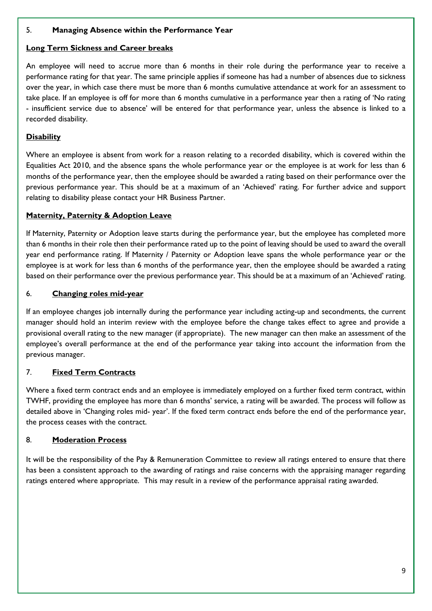## 5. **Managing Absence within the Performance Year**

#### **Long Term Sickness and Career breaks**

An employee will need to accrue more than 6 months in their role during the performance year to receive a performance rating for that year. The same principle applies if someone has had a number of absences due to sickness over the year, in which case there must be more than 6 months cumulative attendance at work for an assessment to take place. If an employee is off for more than 6 months cumulative in a performance year then a rating of 'No rating - insufficient service due to absence' will be entered for that performance year, unless the absence is linked to a recorded disability.

## **Disability**

Where an employee is absent from work for a reason relating to a recorded disability, which is covered within the Equalities Act 2010, and the absence spans the whole performance year or the employee is at work for less than 6 months of the performance year, then the employee should be awarded a rating based on their performance over the previous performance year. This should be at a maximum of an 'Achieved' rating. For further advice and support relating to disability please contact your HR Business Partner.

## **Maternity, Paternity & Adoption Leave**

If Maternity, Paternity or Adoption leave starts during the performance year, but the employee has completed more than 6 months in their role then their performance rated up to the point of leaving should be used to award the overall year end performance rating. If Maternity / Paternity or Adoption leave spans the whole performance year or the employee is at work for less than 6 months of the performance year, then the employee should be awarded a rating based on their performance over the previous performance year. This should be at a maximum of an 'Achieved' rating.

#### 6. **Changing roles mid-year**

If an employee changes job internally during the performance year including acting-up and secondments, the current manager should hold an interim review with the employee before the change takes effect to agree and provide a provisional overall rating to the new manager (if appropriate). The new manager can then make an assessment of the employee's overall performance at the end of the performance year taking into account the information from the previous manager.

# 7. **Fixed Term Contracts**

Where a fixed term contract ends and an employee is immediately employed on a further fixed term contract, within TWHF, providing the employee has more than 6 months' service, a rating will be awarded. The process will follow as detailed above in 'Changing roles mid- year'. If the fixed term contract ends before the end of the performance year, the process ceases with the contract.

#### 8. **Moderation Process**

It will be the responsibility of the Pay & Remuneration Committee to review all ratings entered to ensure that there has been a consistent approach to the awarding of ratings and raise concerns with the appraising manager regarding ratings entered where appropriate. This may result in a review of the performance appraisal rating awarded.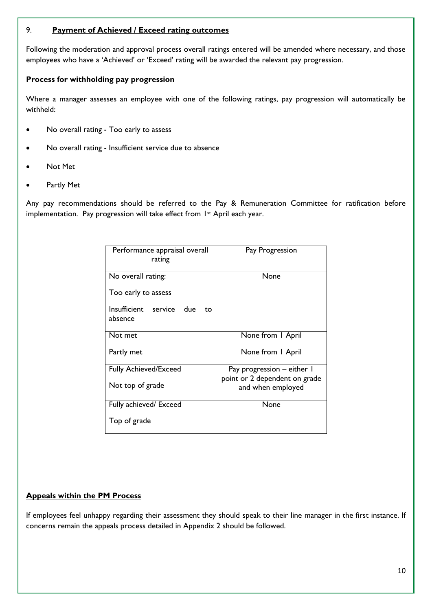## 9. **Payment of Achieved / Exceed rating outcomes**

Following the moderation and approval process overall ratings entered will be amended where necessary, and those employees who have a 'Achieved' or 'Exceed' rating will be awarded the relevant pay progression.

## **Process for withholding pay progression**

Where a manager assesses an employee with one of the following ratings, pay progression will automatically be withheld:

- No overall rating Too early to assess
- No overall rating Insufficient service due to absence
- Not Met
- Partly Met

Any pay recommendations should be referred to the Pay & Remuneration Committee for ratification before implementation. Pay progression will take effect from 1<sup>st</sup> April each year.

| Performance appraisal overall<br>rating   | Pay Progression                                             |
|-------------------------------------------|-------------------------------------------------------------|
| No overall rating:                        | None                                                        |
| Too early to assess                       |                                                             |
| Insufficient service due<br>to<br>absence |                                                             |
| Not met                                   | None from I April                                           |
| Partly met                                | None from I April                                           |
| <b>Fully Achieved/Exceed</b>              | Pay progression - either I<br>point or 2 dependent on grade |
| Not top of grade                          | and when employed                                           |
| Fully achieved/ Exceed                    | None                                                        |
| Top of grade                              |                                                             |

# **Appeals within the PM Process**

If employees feel unhappy regarding their assessment they should speak to their line manager in the first instance. If concerns remain the appeals process detailed in Appendix 2 should be followed.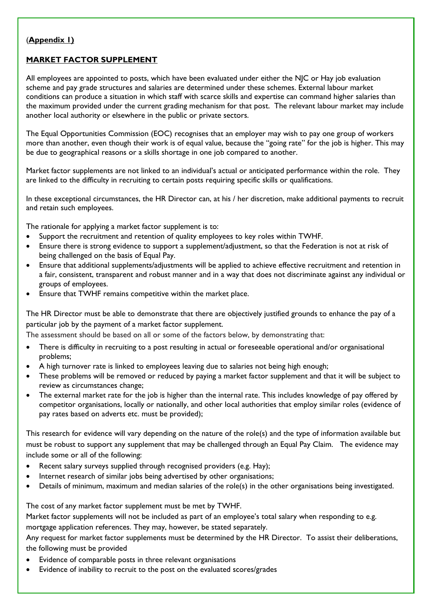## (**Appendix 1)**

## **MARKET FACTOR SUPPLEMENT**

All employees are appointed to posts, which have been evaluated under either the NJC or Hay job evaluation scheme and pay grade structures and salaries are determined under these schemes. External labour market conditions can produce a situation in which staff with scarce skills and expertise can command higher salaries than the maximum provided under the current grading mechanism for that post. The relevant labour market may include another local authority or elsewhere in the public or private sectors.

The Equal Opportunities Commission (EOC) recognises that an employer may wish to pay one group of workers more than another, even though their work is of equal value, because the "going rate" for the job is higher. This may be due to geographical reasons or a skills shortage in one job compared to another.

Market factor supplements are not linked to an individual's actual or anticipated performance within the role. They are linked to the difficulty in recruiting to certain posts requiring specific skills or qualifications.

In these exceptional circumstances, the HR Director can, at his / her discretion, make additional payments to recruit and retain such employees.

The rationale for applying a market factor supplement is to:

- Support the recruitment and retention of quality employees to key roles within TWHF.
- Ensure there is strong evidence to support a supplement/adjustment, so that the Federation is not at risk of being challenged on the basis of Equal Pay.
- Ensure that additional supplements/adjustments will be applied to achieve effective recruitment and retention in a fair, consistent, transparent and robust manner and in a way that does not discriminate against any individual or groups of employees.
- Ensure that TWHF remains competitive within the market place.

The HR Director must be able to demonstrate that there are objectively justified grounds to enhance the pay of a particular job by the payment of a market factor supplement.

The assessment should be based on all or some of the factors below, by demonstrating that:

- There is difficulty in recruiting to a post resulting in actual or foreseeable operational and/or organisational problems;
- A high turnover rate is linked to employees leaving due to salaries not being high enough;
- These problems will be removed or reduced by paying a market factor supplement and that it will be subject to review as circumstances change;
- The external market rate for the job is higher than the internal rate. This includes knowledge of pay offered by competitor organisations, locally or nationally, and other local authorities that employ similar roles (evidence of pay rates based on adverts etc. must be provided);

This research for evidence will vary depending on the nature of the role(s) and the type of information available but must be robust to support any supplement that may be challenged through an Equal Pay Claim. The evidence may include some or all of the following:

- Recent salary surveys supplied through recognised providers (e.g. Hay);
- Internet research of similar jobs being advertised by other organisations;
- Details of minimum, maximum and median salaries of the role(s) in the other organisations being investigated.

The cost of any market factor supplement must be met by TWHF.

Market factor supplements will not be included as part of an employee's total salary when responding to e.g.

mortgage application references. They may, however, be stated separately.

Any request for market factor supplements must be determined by the HR Director. To assist their deliberations, the following must be provided

- Evidence of comparable posts in three relevant organisations
- Evidence of inability to recruit to the post on the evaluated scores/grades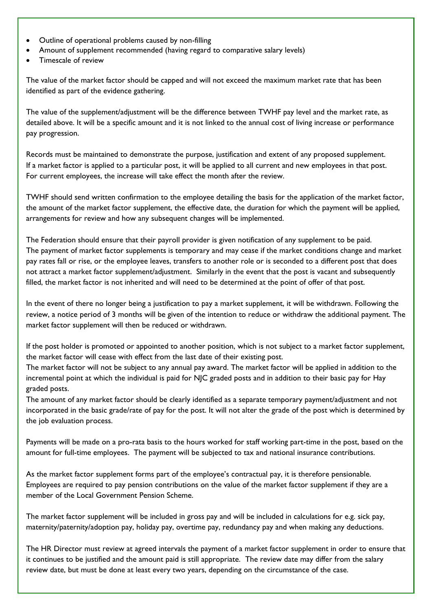- Outline of operational problems caused by non-filling
- Amount of supplement recommended (having regard to comparative salary levels)
- Timescale of review

The value of the market factor should be capped and will not exceed the maximum market rate that has been identified as part of the evidence gathering.

The value of the supplement/adjustment will be the difference between TWHF pay level and the market rate, as detailed above. It will be a specific amount and it is not linked to the annual cost of living increase or performance pay progression.

Records must be maintained to demonstrate the purpose, justification and extent of any proposed supplement. If a market factor is applied to a particular post, it will be applied to all current and new employees in that post. For current employees, the increase will take effect the month after the review.

TWHF should send written confirmation to the employee detailing the basis for the application of the market factor, the amount of the market factor supplement, the effective date, the duration for which the payment will be applied, arrangements for review and how any subsequent changes will be implemented.

The Federation should ensure that their payroll provider is given notification of any supplement to be paid. The payment of market factor supplements is temporary and may cease if the market conditions change and market pay rates fall or rise, or the employee leaves, transfers to another role or is seconded to a different post that does not attract a market factor supplement/adjustment. Similarly in the event that the post is vacant and subsequently filled, the market factor is not inherited and will need to be determined at the point of offer of that post.

In the event of there no longer being a justification to pay a market supplement, it will be withdrawn. Following the review, a notice period of 3 months will be given of the intention to reduce or withdraw the additional payment. The market factor supplement will then be reduced or withdrawn.

If the post holder is promoted or appointed to another position, which is not subject to a market factor supplement, the market factor will cease with effect from the last date of their existing post.

The market factor will not be subject to any annual pay award. The market factor will be applied in addition to the incremental point at which the individual is paid for NJC graded posts and in addition to their basic pay for Hay graded posts.

The amount of any market factor should be clearly identified as a separate temporary payment/adjustment and not incorporated in the basic grade/rate of pay for the post. It will not alter the grade of the post which is determined by the job evaluation process.

Payments will be made on a pro-rata basis to the hours worked for staff working part-time in the post, based on the amount for full-time employees. The payment will be subjected to tax and national insurance contributions.

As the market factor supplement forms part of the employee's contractual pay, it is therefore pensionable. Employees are required to pay pension contributions on the value of the market factor supplement if they are a member of the Local Government Pension Scheme.

The market factor supplement will be included in gross pay and will be included in calculations for e.g. sick pay, maternity/paternity/adoption pay, holiday pay, overtime pay, redundancy pay and when making any deductions.

The HR Director must review at agreed intervals the payment of a market factor supplement in order to ensure that it continues to be justified and the amount paid is still appropriate. The review date may differ from the salary review date, but must be done at least every two years, depending on the circumstance of the case.